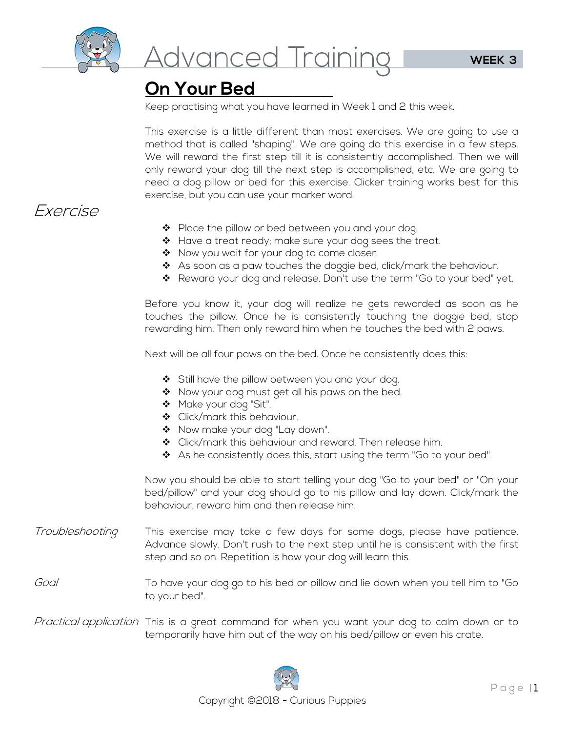

## **On Your Bed**

Keep practising what you have learned in Week 1 and 2 this week.

This exercise is a little different than most exercises. We are going to use a method that is called "shaping". We are going do this exercise in a few steps. We will reward the first step till it is consistently accomplished. Then we will only reward your dog till the next step is accomplished, etc. We are going to need a dog pillow or bed for this exercise. Clicker training works best for this exercise, but you can use your marker word.

## Exercise

- ◆ Place the pillow or bed between you and your dog.
- ❖ Have a treat ready; make sure your dog sees the treat.
- Now you wait for your dog to come closer.
- \* As soon as a paw touches the doggie bed, click/mark the behaviour.
- ❖ Reward your dog and release. Don't use the term "Go to your bed" yet.

Before you know it, your dog will realize he gets rewarded as soon as he touches the pillow. Once he is consistently touching the doggie bed, stop rewarding him. Then only reward him when he touches the bed with 2 paws.

Next will be all four paws on the bed. Once he consistently does this:

- ❖ Still have the pillow between you and your dog.
- Now your dog must get all his paws on the bed.
- \* Make your dog "Sit".
- ◆ Click/mark this behaviour.
- \* Now make your dog "Lay down".
- ◆ Click/mark this behaviour and reward. Then release him.
- ◆ As he consistently does this, start using the term "Go to your bed".

Now you should be able to start telling your dog "Go to your bed" or "On your bed/pillow" and your dog should go to his pillow and lay down. Click/mark the behaviour, reward him and then release him.

- *Troubleshooting* This exercise may take a few days for some dogs, please have patience. Advance slowly. Don't rush to the next step until he is consistent with the first step and so on. Repetition is how your dog will learn this.
- Goal To have your dog go to his bed or pillow and lie down when you tell him to "Go to your bed".
- Practical application This is a great command for when you want your dog to calm down or to temporarily have him out of the way on his bed/pillow or even his crate.